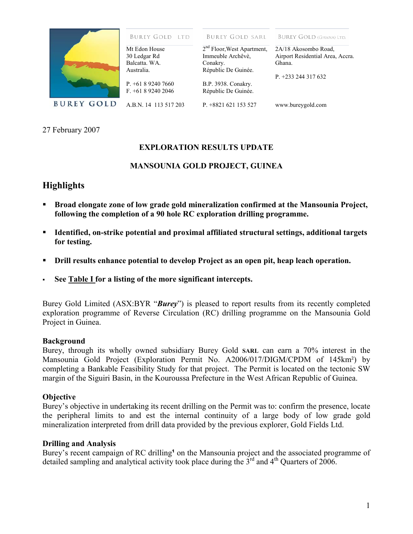

#### **BUREY GOLD LTD**

**BUREY GOLD SARL** 

**BUREY GOLD (GHANA) LTD.** 

| Mt Edon House                 | 2 <sup>nd</sup> Floor, West Apartment, | 2A/18 Akosombo Road,             |
|-------------------------------|----------------------------------------|----------------------------------|
| 30 Ledgar Rd                  | Immeuble Archêvè,                      | Airport Residential Area, Accra. |
| Balcatta, WA.                 | Conakry.                               | Ghana.                           |
| Australia.                    | Républic De Guinée.                    |                                  |
|                               |                                        | P. $+233$ 244 317 632            |
| P <sub>.</sub> $+61892407660$ | B.P. 3938. Conakry.                    |                                  |
| $F. +61892402046$             | Républic De Guinée.                    |                                  |
| A.B.N. 14 113 517 203         | $P. +8821621153527$                    | www.bureygold.com                |

27 February 2007

### **EXPLORATION RESULTS UPDATE**

### **MANSOUNIA GOLD PROJECT, GUINEA**

## **Highlights**

- **Broad elongate zone of low grade gold mineralization confirmed at the Mansounia Project, following the completion of a 90 hole RC exploration drilling programme.**
- **Identified, on-strike potential and proximal affiliated structural settings, additional targets for testing.**
- **Drill results enhance potential to develop Project as an open pit, heap leach operation.**
- **See Table I for a listing of the more significant intercepts.**

Burey Gold Limited (ASX:BYR "*Burey*") is pleased to report results from its recently completed exploration programme of Reverse Circulation (RC) drilling programme on the Mansounia Gold Project in Guinea.

#### **Background**

Burey, through its wholly owned subsidiary Burey Gold **SARL** can earn a 70% interest in the Mansounia Gold Project (Exploration Permit No. A2006/017/DIGM/CPDM of 145km²) by completing a Bankable Feasibility Study for that project. The Permit is located on the tectonic SW margin of the Siguiri Basin, in the Kouroussa Prefecture in the West African Republic of Guinea.

#### **Objective**

Burey's objective in undertaking its recent drilling on the Permit was to: confirm the presence, locate the peripheral limits to and est the internal continuity of a large body of low grade gold mineralization interpreted from drill data provided by the previous explorer, Gold Fields Ltd.

#### **Drilling and Analysis**

Burey's recent campaign of RC drilling<sup>1</sup> on the Mansounia project and the associated programme of detailed sampling and analytical activity took place during the  $3<sup>rd</sup>$  and  $4<sup>th</sup>$  Quarters of 2006.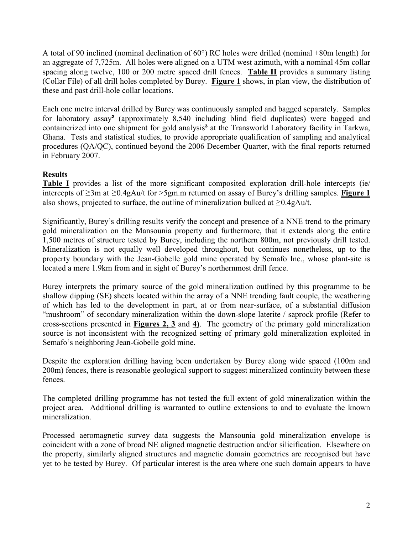A total of 90 inclined (nominal declination of 60°) RC holes were drilled (nominal +80m length) for an aggregate of 7,725m. All holes were aligned on a UTM west azimuth, with a nominal 45m collar spacing along twelve, 100 or 200 metre spaced drill fences. **Table II** provides a summary listing (Collar File) of all drill holes completed by Burey. **Figure 1** shows, in plan view, the distribution of these and past drill-hole collar locations.

Each one metre interval drilled by Burey was continuously sampled and bagged separately. Samples for laboratory assay**²** (approximately 8,540 including blind field duplicates) were bagged and containerized into one shipment for gold analysis<sup>3</sup> at the Transworld Laboratory facility in Tarkwa, Ghana. Tests and statistical studies, to provide appropriate qualification of sampling and analytical procedures (QA/QC), continued beyond the 2006 December Quarter, with the final reports returned in February 2007.

### **Results**

**Table I** provides a list of the more significant composited exploration drill-hole intercepts (ie/ intercepts of ≥3m at ≥0.4gAu/t for >5gm.m returned on assay of Burey's drilling samples. **Figure 1** also shows, projected to surface, the outline of mineralization bulked at  $\geq 0.4$ gAu/t.

Significantly, Burey's drilling results verify the concept and presence of a NNE trend to the primary gold mineralization on the Mansounia property and furthermore, that it extends along the entire 1,500 metres of structure tested by Burey, including the northern 800m, not previously drill tested. Mineralization is not equally well developed throughout, but continues nonetheless, up to the property boundary with the Jean-Gobelle gold mine operated by Semafo Inc., whose plant-site is located a mere 1.9km from and in sight of Burey's northernmost drill fence.

Burey interprets the primary source of the gold mineralization outlined by this programme to be shallow dipping (SE) sheets located within the array of a NNE trending fault couple, the weathering of which has led to the development in part, at or from near-surface, of a substantial diffusion "mushroom" of secondary mineralization within the down-slope laterite / saprock profile (Refer to cross-sections presented in **Figures 2, 3** and **4)**. The geometry of the primary gold mineralization source is not inconsistent with the recognized setting of primary gold mineralization exploited in Semafo's neighboring Jean-Gobelle gold mine.

Despite the exploration drilling having been undertaken by Burey along wide spaced (100m and 200m) fences, there is reasonable geological support to suggest mineralized continuity between these fences.

The completed drilling programme has not tested the full extent of gold mineralization within the project area. Additional drilling is warranted to outline extensions to and to evaluate the known mineralization.

Processed aeromagnetic survey data suggests the Mansounia gold mineralization envelope is coincident with a zone of broad NE aligned magnetic destruction and/or silicification. Elsewhere on the property, similarly aligned structures and magnetic domain geometries are recognised but have yet to be tested by Burey. Of particular interest is the area where one such domain appears to have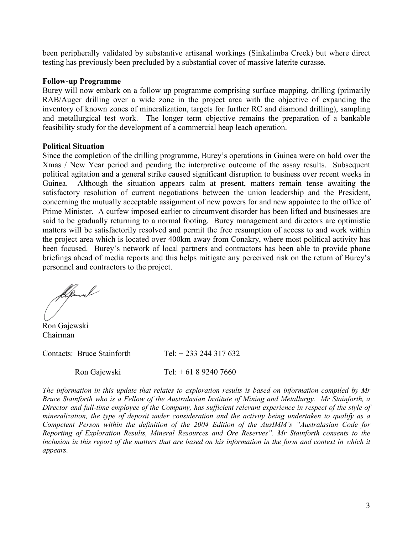been peripherally validated by substantive artisanal workings (Sinkalimba Creek) but where direct testing has previously been precluded by a substantial cover of massive laterite curasse.

#### **Follow-up Programme**

Burey will now embark on a follow up programme comprising surface mapping, drilling (primarily RAB/Auger drilling over a wide zone in the project area with the objective of expanding the inventory of known zones of mineralization, targets for further RC and diamond drilling), sampling and metallurgical test work. The longer term objective remains the preparation of a bankable feasibility study for the development of a commercial heap leach operation.

#### **Political Situation**

Since the completion of the drilling programme, Burey's operations in Guinea were on hold over the Xmas / New Year period and pending the interpretive outcome of the assay results. Subsequent political agitation and a general strike caused significant disruption to business over recent weeks in Guinea. Although the situation appears calm at present, matters remain tense awaiting the satisfactory resolution of current negotiations between the union leadership and the President, concerning the mutually acceptable assignment of new powers for and new appointee to the office of Prime Minister. A curfew imposed earlier to circumvent disorder has been lifted and businesses are said to be gradually returning to a normal footing. Burey management and directors are optimistic matters will be satisfactorily resolved and permit the free resumption of access to and work within the project area which is located over 400km away from Conakry, where most political activity has been focused. Burey's network of local partners and contractors has been able to provide phone briefings ahead of media reports and this helps mitigate any perceived risk on the return of Burey's personnel and contractors to the project.

Apmal

Ron Gajewski Chairman

Contacts: Bruce Stainforth Tel: + 233 244 317 632

Ron Gajewski Tel: + 61 8 9240 7660

*The information in this update that relates to exploration results is based on information compiled by Mr Bruce Stainforth who is a Fellow of the Australasian Institute of Mining and Metallurgy. Mr Stainforth, a Director and full-time employee of the Company, has sufficient relevant experience in respect of the style of mineralization, the type of deposit under consideration and the activity being undertaken to qualify as a Competent Person within the definition of the 2004 Edition of the AusIMM's "Australasian Code for Reporting of Exploration Results, Mineral Resources and Ore Reserves". Mr Stainforth consents to the*  inclusion in this report of the matters that are based on his information in the form and context in which it *appears.*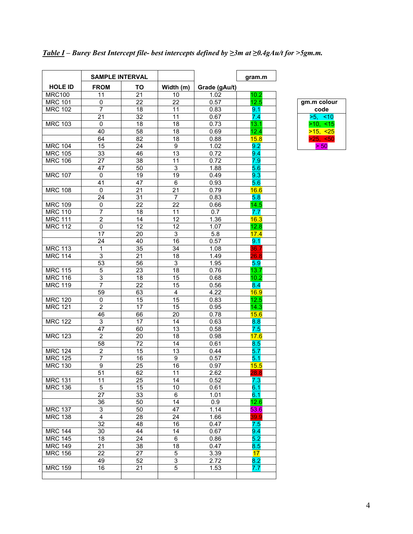|                                  | <b>SAMPLE INTERVAL</b>          |                 |                           |               | gram.m       |               |
|----------------------------------|---------------------------------|-----------------|---------------------------|---------------|--------------|---------------|
| <b>HOLE ID</b>                   | <b>FROM</b>                     | ΤО              | Width (m)                 | Grade (gAu/t) |              |               |
| <b>MRC100</b>                    | 11                              | 21              | 10                        | 1.02          | 10.2         |               |
| <b>MRC 101</b>                   | 0                               | 22              | 22                        | 0.57          | 12.5         | gm.m colour   |
| <b>MRC 102</b>                   | $\overline{7}$                  | 18              | 11                        | 0.83          | 9.1.         | code          |
|                                  | 21                              | 32              | 11                        | 0.67          | 7.4          | $>5, \le 10$  |
| <b>MRC 103</b>                   | $\mathbf 0$                     | 18              | 18                        | 0.73          | 13.1         | $>10, \le 15$ |
|                                  | 40                              | 58              | 18                        | 0.69          | 12.4         | $>15, -25$    |
|                                  | 64                              | 82              | 18                        | 0.88          | 15.8         | $>25, -50$    |
| <b>MRC 104</b>                   | 15                              | 24              | 9                         | 1.02          | 9.2          | > 50          |
| <b>MRC 105</b>                   | 33                              | 46              | 13                        | 0.72          | 9.4          |               |
| <b>MRC 106</b>                   | 27                              | 38              | 11                        | 0.72          | 7.9          |               |
|                                  | 47                              | 50              | $\ensuremath{\mathsf{3}}$ | 1.88          | 5.6          |               |
| <b>MRC 107</b>                   | 0                               | 19              | 19                        | 0.49          | 9.3          |               |
|                                  | 41                              | 47              | 6                         | 0.93          | 5.6          |               |
| <b>MRC 108</b>                   | $\mathbf 0$                     | 21              | 21                        | 0.79          | 16.6         |               |
|                                  | 24                              | 31              | $\overline{7}$            | 0.83          | 5.8          |               |
| <b>MRC 109</b>                   | $\mathbf 0$                     | 22              | 22                        | 0.66          | 14.5         |               |
| <b>MRC 110</b>                   | 7                               | 18              | 11                        | 0.7           | 7.7          |               |
| <b>MRC 111</b>                   | $\overline{2}$                  | 14              | 12                        | 1.36          | 16.3         |               |
| <b>MRC 112</b>                   | $\mathbf 0$                     | 12              | 12                        | 1.07          | 12.8         |               |
|                                  | 17                              | 20              | 3                         | 5.8           | 17.4         |               |
|                                  | 24                              | 40              | 16                        | 0.57          | 9.1          |               |
| <b>MRC 113</b>                   | 1                               | 35              | 34                        | 1.08          | 36.7         |               |
| <b>MRC 114</b>                   | $\mathsf 3$                     | 21              | 18                        | 1.49          | 26.8         |               |
|                                  | $\overline{53}$                 | 56              | 3                         | 1.95          | 5.9          |               |
| <b>MRC 115</b>                   | 5                               | 23              | 18                        | 0.76          | 13.7         |               |
| <b>MRC 116</b>                   | 3                               | 18              | 15                        | 0.68          | 10.2         |               |
| <b>MRC 119</b>                   | 7                               | 22              | 15                        | 0.56          | 8.4          |               |
|                                  | 59                              | 63              | 4                         | 4.22          | 16.9         |               |
| <b>MRC 120</b>                   | $\mathbf{0}$                    | $\overline{15}$ | 15                        | 0.83          | 12.5         |               |
| <b>MRC 121</b>                   | $\overline{2}$                  | 17              | 15                        | 0.95          | 14.3         |               |
|                                  | 46                              | 66              | 20                        | 0.78          | 15.6         |               |
| <b>MRC 122</b>                   | 3                               | 17              | 14                        | 0.63          | 8.8          |               |
|                                  | 47                              | 60              | 13                        | 0.58          | 7.5          |               |
| <b>MRC 123</b>                   | $\overline{2}$                  | 20              | 18                        | 0.98          | 17.6         |               |
|                                  | 58                              | 72              | 14                        | 0.61          | 8.5          |               |
| <b>MRC 124</b>                   | $\overline{2}$                  | 15              | 13                        | 0.44          | 5.7          |               |
| <b>MRC 125</b>                   | 7                               | 16              | 9                         | 0.57          | 5.1          |               |
| <b>MRC 130</b>                   | 9                               | 25              | 16                        | 0.97          | 15.5         |               |
|                                  | 51                              | 62              | 11                        | 2.62          | 28.8         |               |
| <b>MRC 131</b>                   | 11                              | 25              | 14                        | 0.52          | 7.3          |               |
| <b>MRC 136</b>                   | 5<br>27                         | 15              | 10                        | 0.61          | 6.1          |               |
|                                  |                                 | 33              | 6                         | 1.01          | 6.1          |               |
|                                  | 36<br>$\ensuremath{\mathsf{3}}$ | 50<br>50        | 14                        | 0.9           | 12.6         |               |
| <b>MRC 137</b><br><b>MRC 138</b> | $\overline{\mathbf{4}}$         | 28              | 47<br>24                  | 1.14<br>1.66  | 53.6<br>39.9 |               |
|                                  | $\overline{32}$                 | 48              | 16                        | 0.47          | 7.5          |               |
|                                  |                                 |                 |                           |               | 9.4          |               |
| <b>MRC 144</b><br><b>MRC 145</b> | 30<br>18                        | 44<br>24        | 14                        | 0.67          | 5.2          |               |
| <b>MRC 149</b>                   | 21                              | 38              | 6<br>18                   | 0.86          |              |               |
| <b>MRC 156</b>                   | 22                              | 27              | $\overline{5}$            | 0.47<br>3.39  | 8.5<br>17    |               |
|                                  | 49                              | 52              | 3                         | 2.72          | 8.2          |               |
| <b>MRC 159</b>                   | 16                              | 21              | 5                         | 1.53          | 7.7          |               |
|                                  |                                 |                 |                           |               |              |               |
|                                  |                                 |                 |                           |               |              |               |

|  |  |  |  |  |  |  | <u>Table I</u> – Burey Best Intercept file- best intercepts defined by $\geq$ 3m at $\geq$ 0.4gAu/t for >5gm.m. |
|--|--|--|--|--|--|--|-----------------------------------------------------------------------------------------------------------------|
|  |  |  |  |  |  |  |                                                                                                                 |

| gm.m colour      |  |  |  |  |  |  |  |
|------------------|--|--|--|--|--|--|--|
| code             |  |  |  |  |  |  |  |
| $\leq 10$<br>>5. |  |  |  |  |  |  |  |
| $>10$ . <15      |  |  |  |  |  |  |  |
| >15,<br>~5       |  |  |  |  |  |  |  |
| >25.<br><50      |  |  |  |  |  |  |  |
|                  |  |  |  |  |  |  |  |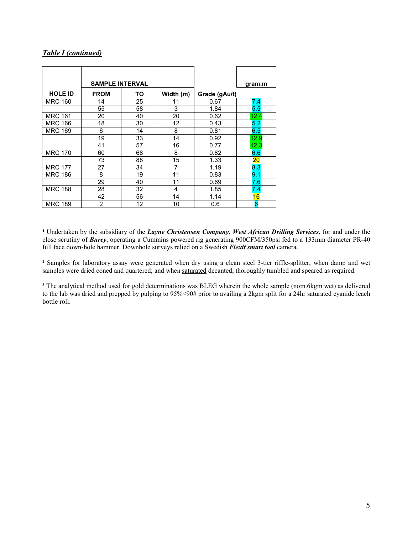#### *Table I (continued)*

|                | <b>SAMPLE INTERVAL</b> |    |           |               | gram.m |
|----------------|------------------------|----|-----------|---------------|--------|
| <b>HOLE ID</b> | <b>FROM</b><br>ΤО      |    | Width (m) | Grade (gAu/t) |        |
| <b>MRC 160</b> | 14                     | 25 | 11        | 0.67          | 7.4    |
|                | 55                     | 58 | 3         | 1.84          | 5.5    |
| <b>MRC 161</b> | 20                     | 40 | 20        | 0.62          | 12.4   |
| <b>MRC 166</b> | 18                     | 30 | 12        | 0.43          | 5.2    |
| <b>MRC 169</b> | 6                      | 14 | 8         | 0.81          | 6.5    |
|                | 19                     | 33 | 14        | 0.92          | 12.9   |
|                | 41                     | 57 | 16        | 0.77          | 12.3   |
| <b>MRC 170</b> | 60                     | 68 | 8         | 0.82          | 6.6    |
|                | 73                     | 88 | 15        | 1.33          | 20     |
| <b>MRC 177</b> | 27                     | 34 | 7         | 1.19          | 8.3    |
| <b>MRC 186</b> | 8                      | 19 | 11        | 0.83          | 9.1    |
|                | 29                     | 40 | 11        | 0.69          | 7.6    |
| <b>MRC 188</b> | 28                     | 32 | 4         | 1.85          | 7.4    |
|                | 42                     | 56 | 14        | 1.14          | 16     |
| <b>MRC 189</b> | $\overline{2}$         | 12 | 10        | 0.6           | 6      |

**¹** Undertaken by the subsidiary of the *Layne Christensen Company*, *West African Drilling Services,* for and under the close scrutiny of *Burey*, operating a Cummins powered rig generating 900CFM/350psi fed to a 133mm diameter PR-40 full face down-hole hammer. Downhole surveys relied on a Swedish *Flexit smart tool* camera.

**²** Samples for laboratory assay were generated when dry using a clean steel 3-tier riffle-splitter; when damp and wet samples were dried coned and quartered; and when saturated decanted, thoroughly tumbled and speared as required.

**³** The analytical method used for gold determinations was BLEG wherein the whole sample (nom.6kgm wet) as delivered to the lab was dried and prepped by pulping to 95%<90# prior to availing a 2kgm split for a 24hr saturated cyanide leach bottle roll.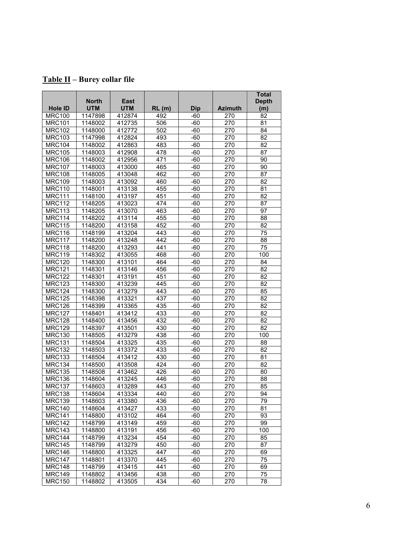| Table II - Burey collar file |
|------------------------------|
|------------------------------|

|                | <b>North</b> | <b>East</b> |       |            |                | <b>Total</b><br><b>Depth</b> |
|----------------|--------------|-------------|-------|------------|----------------|------------------------------|
| <b>Hole ID</b> | <b>UTM</b>   | <b>UTM</b>  | RL(m) | <b>Dip</b> | <b>Azimuth</b> | (m)                          |
| <b>MRC100</b>  | 1147898      | 412874      | 492   | $-60$      | 270            | 82                           |
| <b>MRC101</b>  | 1148002      | 412735      | 506   | $-60$      | 270            | 81                           |
| <b>MRC102</b>  | 1148000      | 412772      | 502   | $-60$      | 270            | 84                           |
| <b>MRC103</b>  | 1147998      | 412824      | 493   | $-60$      | 270            | 82                           |
| <b>MRC104</b>  | 1148002      | 412863      | 483   | $-60$      | 270            | 82                           |
| <b>MRC105</b>  | 1148003      | 412908      | 478   | $-60$      | 270            | 87                           |
| <b>MRC106</b>  | 1148002      | 412956      | 471   | $-60$      | 270            | 90                           |
| <b>MRC107</b>  | 1148003      | 413000      | 465   | $-60$      | 270            | 90                           |
| <b>MRC108</b>  | 1148005      | 413048      | 462   | $-60$      | 270            | 87                           |
| <b>MRC109</b>  | 1148003      | 413092      | 460   | $-60$      | 270            | $\overline{82}$              |
| <b>MRC110</b>  | 1148001      | 413138      | 455   | $-60$      | 270            | 81                           |
| <b>MRC111</b>  | 1148100      | 413197      | 451   | -60        | 270            | 82                           |
| <b>MRC112</b>  | 1148205      | 413023      | 474   | $-60$      | 270            | 87                           |
| <b>MRC113</b>  | 1148205      | 413070      | 463   | $-60$      | 270            | 97                           |
| <b>MRC114</b>  | 1148202      | 413114      | 455   | $-60$      | 270            | 88                           |
| <b>MRC115</b>  | 1148200      | 413158      | 452   | $-60$      | 270            | 82                           |
| <b>MRC116</b>  | 1148199      | 413204      | 443   | $-60$      | 270            | 75                           |
| <b>MRC117</b>  | 1148200      | 413248      | 442   | $-60$      | 270            | 88                           |
| <b>MRC118</b>  | 1148200      | 413293      | 441   | $-60$      | 270            | 75                           |
| <b>MRC119</b>  | 1148302      | 413055      | 468   | $-60$      | 270            | 100                          |
| <b>MRC120</b>  | 1148300      | 413101      | 464   | $-60$      | 270            | 84                           |
| <b>MRC121</b>  | 1148301      | 413146      | 456   | $-60$      | 270            | 82                           |
| <b>MRC122</b>  | 1148301      | 413191      | 451   | $-60$      | 270            | 82                           |
| <b>MRC123</b>  | 1148300      | 413239      | 445   | $-60$      | 270            | 82                           |
| <b>MRC124</b>  | 1148300      | 413279      | 443   | $-60$      | 270            | 85                           |
| <b>MRC125</b>  | 1148398      | 413321      | 437   | $-60$      | 270            | 82                           |
| <b>MRC126</b>  | 1148399      | 413365      | 435   | $-60$      | 270            | 82                           |
| <b>MRC127</b>  | 1148401      | 413412      | 433   | $-60$      | 270            | 82                           |
| <b>MRC128</b>  | 1148400      | 413456      | 432   | $-60$      | 270            | 82                           |
| <b>MRC129</b>  | 1148397      | 413501      | 430   | $-60$      | 270            | 82                           |
| <b>MRC130</b>  | 1148505      | 413279      | 438   | $-60$      | 270            | 100                          |
| <b>MRC131</b>  | 1148504      | 413325      | 435   | $-60$      | 270            | 88                           |
| <b>MRC132</b>  | 1148503      | 413372      | 433   | $-60$      | 270            | 82                           |
| <b>MRC133</b>  | 1148504      | 413412      | 430   | $-60$      | 270            | 81                           |
| <b>MRC134</b>  | 1148500      | 413508      | 424   | $-60$      | 270            | 82                           |
| <b>MRC135</b>  | 1148508      | 413462      | 426   | $-60$      | 270            | 80                           |
| <b>MRC136</b>  | 1148604      | 413245      | 446   | $-60$      | 270            | 88                           |
| <b>MRC137</b>  | 1148603      | 413289      | 443   | $-60$      | 270            | 85                           |
| <b>MRC138</b>  | 1148604      | 413334      | 440   | $-60$      | 270            | 94                           |
| <b>MRC139</b>  | 1148603      | 413380      | 436   | $-60$      | 270            | 79                           |
| <b>MRC140</b>  | 1148604      | 413427      | 433   | $-60$      | 270            | 81                           |
| <b>MRC141</b>  | 1148800      | 413102      | 464   | -60        | 270            | 93                           |
| <b>MRC142</b>  | 1148799      | 413149      | 459   | -60        | 270            | 99                           |
| <b>MRC143</b>  | 1148800      | 413191      | 456   | $-60$      | 270            | 100                          |
| <b>MRC144</b>  | 1148799      | 413234      | 454   | $-60$      | 270            | 85                           |
| <b>MRC145</b>  | 1148799      | 413279      | 450   | $-60$      | 270            | 87                           |
| <b>MRC146</b>  | 1148800      | 413325      | 447   | $-60$      | 270            | 69                           |
| <b>MRC147</b>  | 1148801      | 413370      | 445   | -60        | 270            | 75                           |
| <b>MRC148</b>  | 1148799      | 413415      | 441   | -60        | 270            | 69                           |
| <b>MRC149</b>  | 1148802      | 413456      | 438   | -60        | 270            | 75                           |
| <b>MRC150</b>  | 1148802      | 413505      | 434   | $-60$      | 270            | 78                           |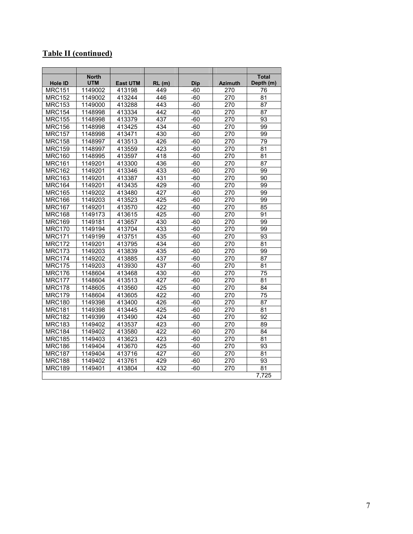# **Table II (continued)**

| <b>Hole ID</b>              | <b>North</b><br><b>UTM</b> | <b>East UTM</b> | RL(m)            | <b>Dip</b> | <b>Azimuth</b> | <b>Total</b><br>Depth (m) |
|-----------------------------|----------------------------|-----------------|------------------|------------|----------------|---------------------------|
| <b>MRC151</b>               | 1149002                    | 413198          | 449              | -60        | 270            | 76                        |
| <b>MRC152</b>               | 1149002                    | 413244          | 446              | -60        | 270            | 81                        |
| <b>MRC153</b>               | 1149000                    | 413288          | 443              | $-60$      | 270            | 87                        |
| $\overline{\text{MRC}}$ 154 | 1148998                    | 413334          | 442              | $-60$      | 270            | 87                        |
| <b>MRC155</b>               | 1148998                    | 413379          | 437              | $-60$      | 270            | 93                        |
| <b>MRC156</b>               | 1148998                    | 413425          | 434              | $-60$      | 270            | 99                        |
| <b>MRC157</b>               | 1148998                    | 413471          | 430              | $-60$      | 270            | 99                        |
| <b>MRC158</b>               | 1148997                    | 413513          | 426              | -60        | 270            | 79                        |
| <b>MRC159</b>               | 1148997                    | 413559          | 423              | $-60$      | 270            | 81                        |
| <b>MRC160</b>               | 1148995                    | 413597          | 418              | $-60$      | 270            | 81                        |
| <b>MRC161</b>               | 1149201                    | 413300          | 436              | $-60$      | 270            | $\overline{87}$           |
| <b>MRC162</b>               | 1149201                    | 413346          | 433              | -60        | 270            | 99                        |
| <b>MRC163</b>               | 1149201                    | 413387          | 431              | $-60$      | 270            | $\overline{90}$           |
| <b>MRC164</b>               | 1149201                    | 413435          | 429              | $-60$      | 270            | 99                        |
| <b>MRC165</b>               | 1149202                    | 413480          | 427              | $-60$      | 270            | 99                        |
| <b>MRC166</b>               | 1149203                    | 413523          | 425              | -60        | 270            | 99                        |
| <b>MRC167</b>               | 1149201                    | 413570          | 422              | $-60$      | 270            | 85                        |
| <b>MRC168</b>               | 1149173                    | 413615          | 425              | -60        | 270            | 91                        |
| <b>MRC169</b>               | 1149181                    | 413657          | 430              | $-60$      | 270            | 99                        |
| <b>MRC170</b>               | 1149194                    | 413704          | 433              | $-60$      | 270            | 99                        |
| <b>MRC171</b>               | 1149199                    | 413751          | 435              | $-60$      | 270            | 93                        |
| <b>MRC172</b>               | 1149201                    | 413795          | 434              | $-60$      | 270            | 81                        |
| <b>MRC173</b>               | 1149203                    | 413839          | 435              | $-60$      | 270            | 99                        |
| <b>MRC174</b>               | 1149202                    | 413885          | 437              | -60        | 270            | 87                        |
| <b>MRC175</b>               | 1149203                    | 413930          | 437              | -60        | 270            | 81                        |
| <b>MRC176</b>               | 1148604                    | 413468          | 430              | $-60$      | 270            | 75                        |
| <b>MRC177</b>               | 1148604                    | 413513          | 427              | -60        | 270            | 81                        |
| <b>MRC178</b>               | 1148605                    | 413560          | 425              | -60        | 270            | 84                        |
| <b>MRC179</b>               | 1148604                    | 413605          | 422              | $-60$      | 270            | 75                        |
| <b>MRC180</b>               | 1149398                    | 413400          | 426              | -60        | 270            | 87                        |
| <b>MRC181</b>               | 1149398                    | 413445          | 425              | $-60$      | 270            | $\overline{81}$           |
| <b>MRC182</b>               | 1149399                    | 413490          | 424              | -60        | 270            | 92                        |
| <b>MRC183</b>               | 1149402                    | 413537          | $\overline{423}$ | $-60$      | 270            | 89                        |
| <b>MRC184</b>               | 1149402                    | 413580          | 422              | $-60$      | 270            | 84                        |
| <b>MRC185</b>               | 1149403                    | 413623          | 423              | $-60$      | 270            | $\overline{81}$           |
| <b>MRC186</b>               | 1149404                    | 413670          | 425              | -60        | 270            | 93                        |
| <b>MRC187</b>               | 1149404                    | 413716          | 427              | -60        | 270            | 81                        |
| <b>MRC188</b>               | 1149402                    | 413761          | 429              | -60        | 270            | 93                        |
| <b>MRC189</b>               | 1149401                    | 413804          | 432              | -60        | 270            | 81                        |
|                             |                            |                 |                  |            |                | $\overline{7,725}$        |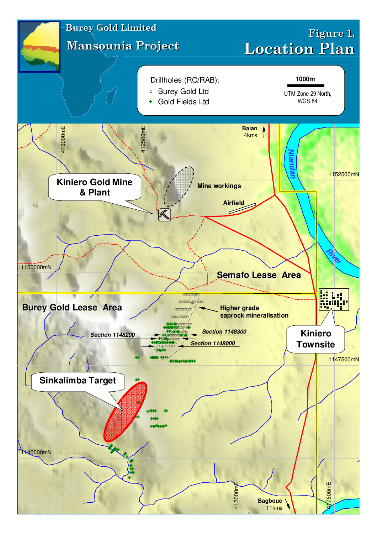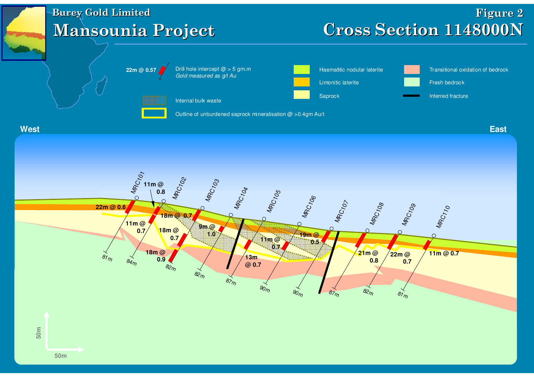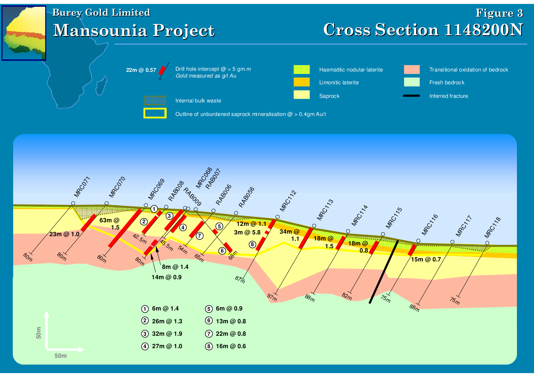